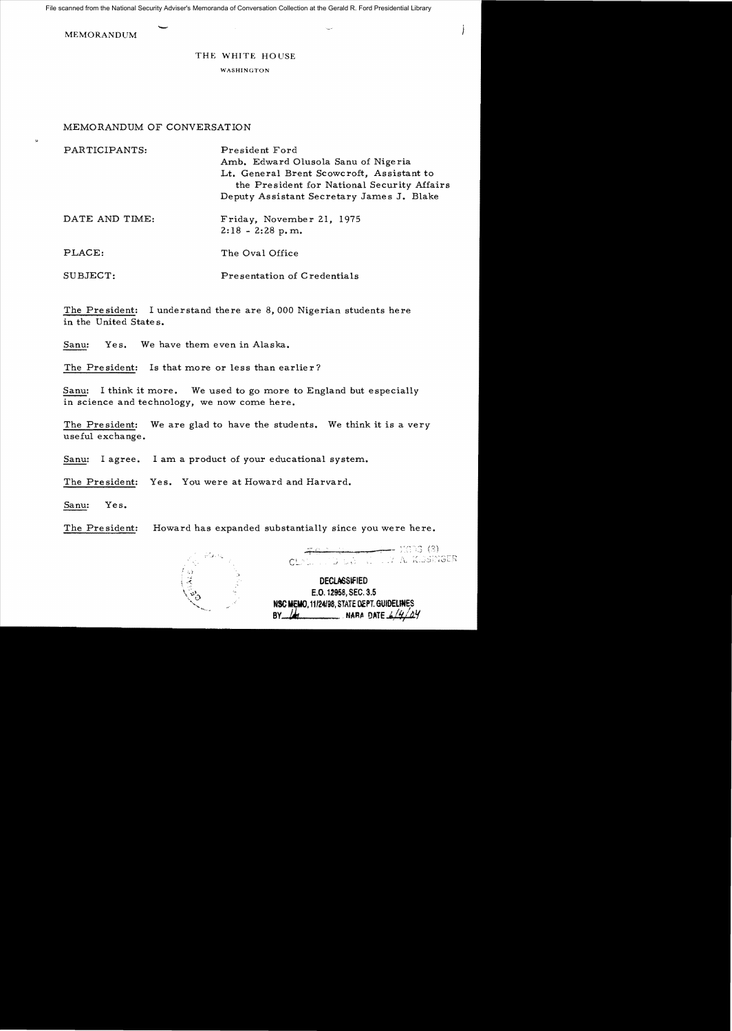File scanned from the National Security Adviser's Memoranda of Conversation Collection at the Gerald R. Ford Presidential Library

**MEMORANDUM** 

**M** 

## THE WHITE HOUSE

WASHINGTON

## MEMORANDUM OF CONVERSATION

| PARTICIPANTS:  | President Ford<br>Amb. Edward Olusola Sanu of Nigeria<br>Lt. General Brent Scowcroft, Assistant to<br>the President for National Security Affairs<br>Deputy Assistant Secretary James J. Blake |
|----------------|------------------------------------------------------------------------------------------------------------------------------------------------------------------------------------------------|
| DATE AND TIME: | Friday, November 21, 1975<br>$2:18 - 2:28$ p.m.                                                                                                                                                |
| PLACE:         | The Oval Office                                                                                                                                                                                |
| SUBJECT:       | Presentation of Credentials                                                                                                                                                                    |

The President: I understand there are 8,000 Nigerian students here in the United States.

Sanu: Yes. We have them even in Alaska.

The President: Is that more or less than earlier?

Sanu: I think it more. We used to go more to England but especially in science and technology, we now come here.

The President: We are glad to have the students. We think it is a very useful exchange.

Sanu: I agree. I am a product of your educational system.

The President: Yes. You were at Howard and Harvard.

Sanu: Yes.

The President: Howard has expanded substantially since you were here.



- 703 (3) DES EL TVA KESSNGER

**DECLASSIFIED** E.O. 12958, SEC. 3.5 NSC MEMO, 11/24/98, STATE DEPT. GUIDELINES BY  $\mu$  NARA DATE  $6/4/24$